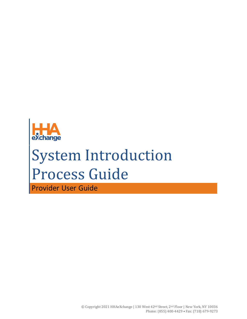

# System Introduction Process Guide

Provider User Guide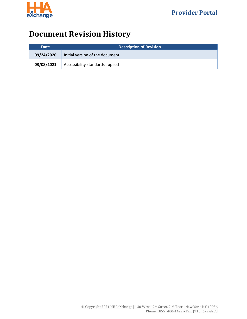

# **Document Revision History**

| <b>Date</b> | <b>Description of Revision</b>  |  |
|-------------|---------------------------------|--|
| 09/24/2020  | Initial version of the document |  |
| 03/08/2021  | Accessibility standards applied |  |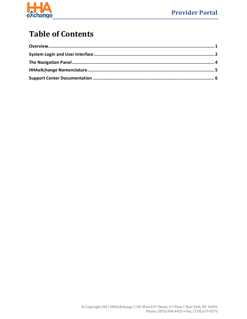

## **Table of Contents**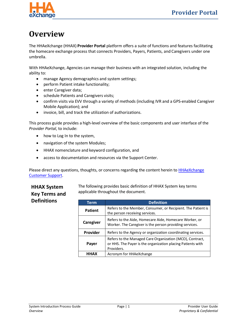

## <span id="page-3-0"></span>**Overview**

The HHAeXchange (HHAX) **Provider Portal** platform offers a suite of functions and features facilitating the homecare exchange process that connects Providers, Payers, Patients, and Caregivers under one umbrella.

With HHAeXchange, Agencies can manage their business with an integrated solution, including the ability to:

- manage Agency demographics and system settings;
- perform Patient intake functionality;
- enter Caregiver data;
- schedule Patients and Caregivers visits;
- confirm visits via EVV through a variety of methods (including IVR and a GPS-enabled Caregiver Mobile Application); and
- invoice, bill, and track the utilization of authorizations.

This process guide provides a high-level overview of the basic components and user interface of the *Provider Portal*, to include:

- how to Log In to the system,
- navigation of the system Modules;
- HHAX nomenclature and keyword configuration, and
- access to documentation and resources via the Support Center.

Please direct any questions, thoughts, or concerns regarding the content herein to **HHAeXchange** [Customer Support.](mailto:support@hhaexchange.com)

#### **HHAX System Key Terms and Definitions**

The following provides basic definition of HHAX System key terms applicable throughout the document.

| Term           | <b>Definition</b>                                                                                                                     |
|----------------|---------------------------------------------------------------------------------------------------------------------------------------|
| <b>Patient</b> | Refers to the Member, Consumer, or Recipient. The Patient is<br>the person receiving services.                                        |
| Caregiver      | Refers to the Aide, Homecare Aide, Homecare Worker, or<br>Worker. The Caregiver is the person providing services.                     |
| Provider       | Refers to the Agency or organization coordinating services.                                                                           |
| Payer          | Refers to the Managed Care Organization (MCO), Contract,<br>or HHS. The Payer is the organization placing Patients with<br>Providers. |
| <b>HHAX</b>    | Acronym for HHAeXchange                                                                                                               |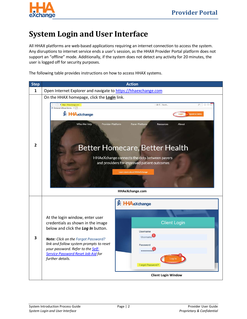

## <span id="page-4-0"></span>**System Login and User Interface**

All HHAX platforms are web-based applications requiring an internet connection to access the system. Any disruptions to internet service ends a user's session, as the HHAX Provider Portal platform does not support an "offline" mode. Additionally, if the system does not detect any activity for 20 minutes, the user is logged off for security purposes.

The following table provides instructions on how to access HHAX systems.

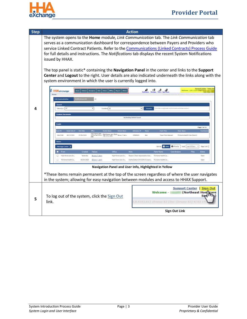

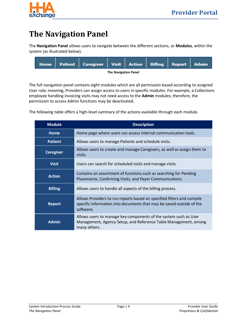

## <span id="page-6-0"></span>**The Navigation Panel**

The **Navigation Panel** allows users to navigate between the different sections, or **Modules**, within the system (as illustrated below).



The full navigation panel contains eight modules which are all permission based according to assigned User role; meaning, Providers can assign access to users in specific modules. For example, a Collections employee handling invoicing visits may not need access to the **Admin** modules; therefore, the permission to access Admin functions may be deactivated.

The following table offers a high-level summary of the actions available through each module.

| <b>Module</b>    | <b>Description</b>                                                                                                                                          |  |  |
|------------------|-------------------------------------------------------------------------------------------------------------------------------------------------------------|--|--|
| <b>Home</b>      | Home page where users can access internal communication tools.                                                                                              |  |  |
| <b>Patient</b>   | Allows users to manage Patients and schedule visits.                                                                                                        |  |  |
| <b>Caregiver</b> | Allows users to create and manage Caregivers, as well as assign them to<br>visits.                                                                          |  |  |
| <b>Visit</b>     | Users can search for scheduled visits and manage visits.                                                                                                    |  |  |
| <b>Action</b>    | Contains an assortment of functions such as searching for Pending<br>Placements, Confirming Visits, and Payer Communications.                               |  |  |
| <b>Billing</b>   | Allows users to handle all aspects of the billing process.                                                                                                  |  |  |
| <b>Report</b>    | Allows Providers to run reports based on specified filters and compile<br>specific information into documents that may be saved outside of the<br>software. |  |  |
| <b>Admin</b>     | Allows users to manage key components of the system such as User<br>Management, Agency Setup, and Reference Table Management, among<br>many others.         |  |  |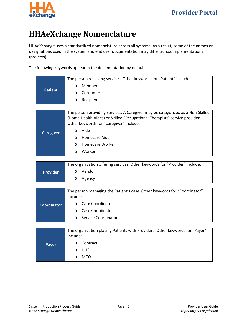

# <span id="page-7-0"></span>**HHAeXchange Nomenclature**

HHAeXchange uses a standardized nomenclature across all systems. As a result, some of the names or designations used in the system and end user documentation may differ across implementations (projects).

The following keywords appear in the documentation by default.

| <b>Patient</b>     | The person receiving services. Other keywords for "Patient" include:                                                  |
|--------------------|-----------------------------------------------------------------------------------------------------------------------|
|                    | Member<br>$\circ$                                                                                                     |
|                    | Consumer<br>$\circ$                                                                                                   |
|                    | Recipient<br>$\circ$                                                                                                  |
|                    |                                                                                                                       |
|                    | The person providing services. A Caregiver may be categorized as a Non-Skilled                                        |
|                    | (Home Health Aides) or Skilled (Occupational Therapists) service provider.<br>Other keywords for "Caregiver" include: |
| <b>Caregiver</b>   | Aide<br>$\circ$                                                                                                       |
|                    | Homecare Aide<br>$\circ$                                                                                              |
|                    | <b>Homecare Worker</b><br>$\circ$                                                                                     |
|                    | Worker<br>O                                                                                                           |
|                    |                                                                                                                       |
|                    | The organization offering services. Other keywords for "Provider" include:                                            |
| <b>Provider</b>    | Vendor<br>$\circ$                                                                                                     |
|                    | Agency<br>O                                                                                                           |
|                    |                                                                                                                       |
|                    | The person managing the Patient's case. Other keywords for "Coordinator"                                              |
|                    | include:                                                                                                              |
| <b>Coordinator</b> | <b>Care Coordinator</b><br>$\circ$                                                                                    |
|                    | Case Coordinator<br>$\circ$                                                                                           |
|                    | Service Coordinator<br>O                                                                                              |
|                    |                                                                                                                       |
|                    | The organization placing Patients with Providers. Other keywords for "Payer"<br>include:                              |
| <b>Payer</b>       | Contract<br>$\circ$                                                                                                   |
|                    | <b>HHS</b><br>$\circ$                                                                                                 |
|                    | <b>MCO</b><br>$\circ$                                                                                                 |